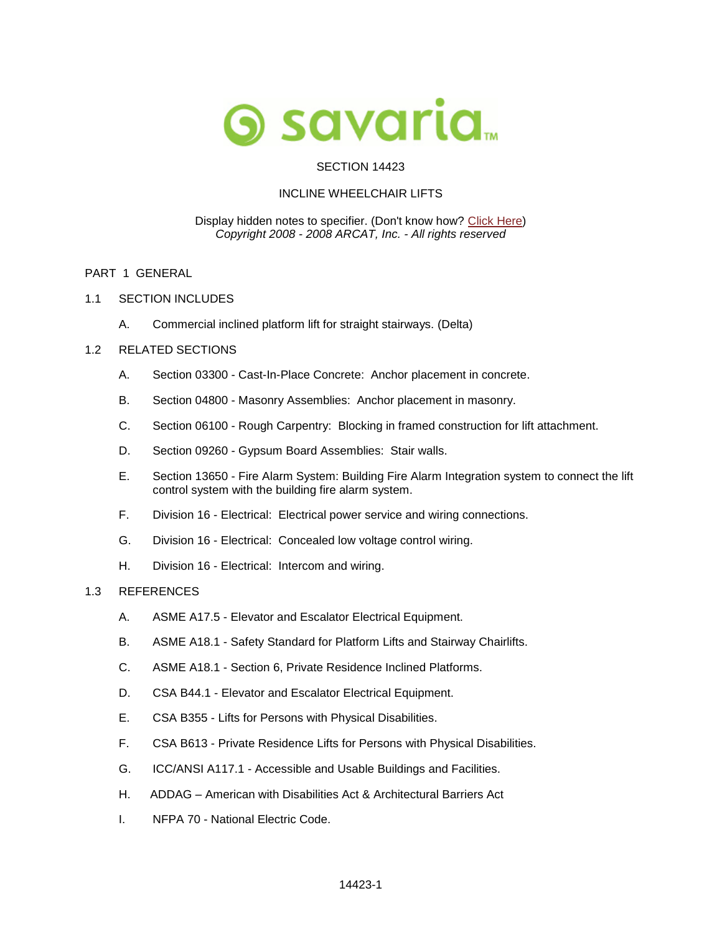

## SECTION 14423

## INCLINE WHEELCHAIR LIFTS

#### Display hidden notes to specifier. (Don't know how? [Click Here\)](http://www.arcat.com/sd/display_hidden_notes.shtml) *Copyright 2008 - 2008 ARCAT, Inc. - All rights reserved*

#### PART 1 GENERAL

- 1.1 SECTION INCLUDES
	- A. Commercial inclined platform lift for straight stairways. (Delta)

## 1.2 RELATED SECTIONS

- A. Section 03300 Cast-In-Place Concrete: Anchor placement in concrete.
- B. Section 04800 Masonry Assemblies: Anchor placement in masonry.
- C. Section 06100 Rough Carpentry: Blocking in framed construction for lift attachment.
- D. Section 09260 Gypsum Board Assemblies: Stair walls.
- E. Section 13650 Fire Alarm System: Building Fire Alarm Integration system to connect the lift control system with the building fire alarm system.
- F. Division 16 Electrical: Electrical power service and wiring connections.
- G. Division 16 Electrical: Concealed low voltage control wiring.
- H. Division 16 Electrical: Intercom and wiring.

## 1.3 REFERENCES

- A. ASME A17.5 Elevator and Escalator Electrical Equipment.
- B. ASME A18.1 Safety Standard for Platform Lifts and Stairway Chairlifts.
- C. ASME A18.1 Section 6, Private Residence Inclined Platforms.
- D. CSA B44.1 Elevator and Escalator Electrical Equipment.
- E. CSA B355 Lifts for Persons with Physical Disabilities.
- F. CSA B613 Private Residence Lifts for Persons with Physical Disabilities.
- G. ICC/ANSI A117.1 Accessible and Usable Buildings and Facilities.
- H. ADDAG American with Disabilities Act & Architectural Barriers Act
- I. NFPA 70 National Electric Code.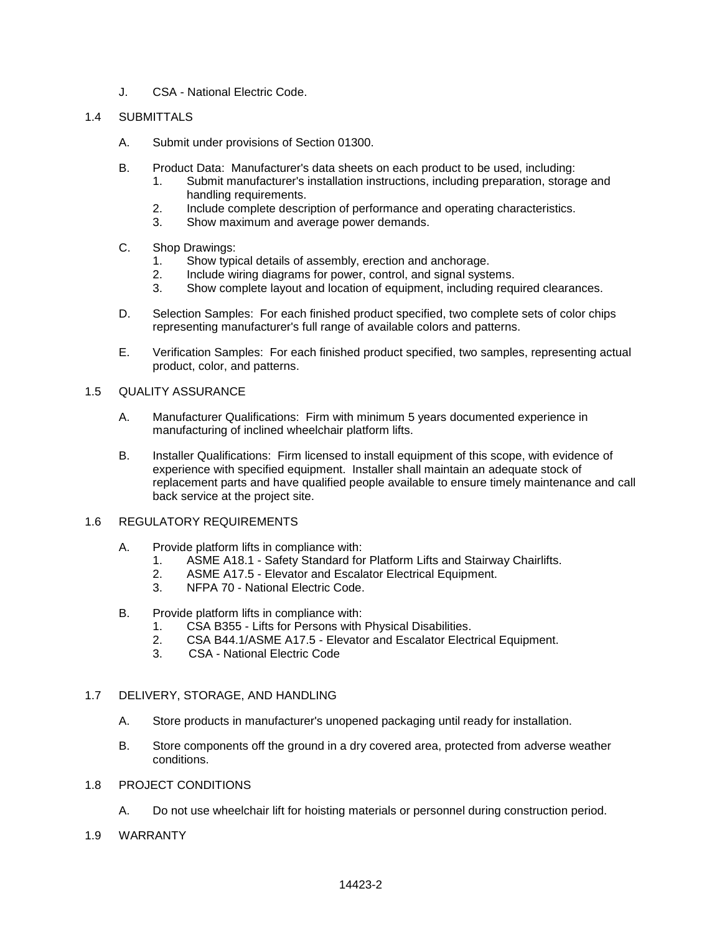J. CSA - National Electric Code.

## 1.4 SUBMITTALS

- A. Submit under provisions of Section 01300.
- B. [Product Data:](http://www.savaria.com/) Manufacturer's data sheets on each product to be used, including:
	- 1. Submit manufacturer's installation instructions, including preparation, storage and handling requirements.
	- 2. Include complete description of performance and operating characteristics.
	- 3. Show maximum and average power demands.
- C. Shop Drawings:
	- 1. Show typical details of assembly, erection and anchorage.
	- 2. Include wiring diagrams for power, control, and signal systems.
	- 3. Show complete layout and location of equipment, including required clearances.
- D. Selection Samples: For each finished product specified, two complete sets of color chips representing manufacturer's full range of available colors and patterns.
- E. Verification Samples: For each finished product specified, two samples, representing actual product, color, and patterns.

#### 1.5 QUALITY ASSURANCE

- A. Manufacturer Qualifications: Firm with minimum 5 years documented experience in manufacturing of inclined wheelchair platform lifts.
- B. Installer Qualifications: Firm licensed to install equipment of this scope, with evidence of experience with specified equipment. Installer shall maintain an adequate stock of replacement parts and have qualified people available to ensure timely maintenance and call back service at the project site.

## 1.6 REGULATORY REQUIREMENTS

- A. Provide platform lifts in compliance with:
	- 1. ASME A18.1 Safety Standard for Platform Lifts and Stairway Chairlifts.
	- 2. ASME A17.5 Elevator and Escalator Electrical Equipment.
	- 3. NFPA 70 National Electric Code.
- B. Provide platform lifts in compliance with:
	- 1. CSA B355 Lifts for Persons with Physical Disabilities.
	- 2. CSA B44.1/ASME A17.5 Elevator and Escalator Electrical Equipment.
	- 3. CSA National Electric Code

## 1.7 DELIVERY, STORAGE, AND HANDLING

- A. Store products in manufacturer's unopened packaging until ready for installation.
- B. Store components off the ground in a dry covered area, protected from adverse weather conditions.

## 1.8 PROJECT CONDITIONS

- A. Do not use wheelchair lift for hoisting materials or personnel during construction period.
- 1.9 WARRANTY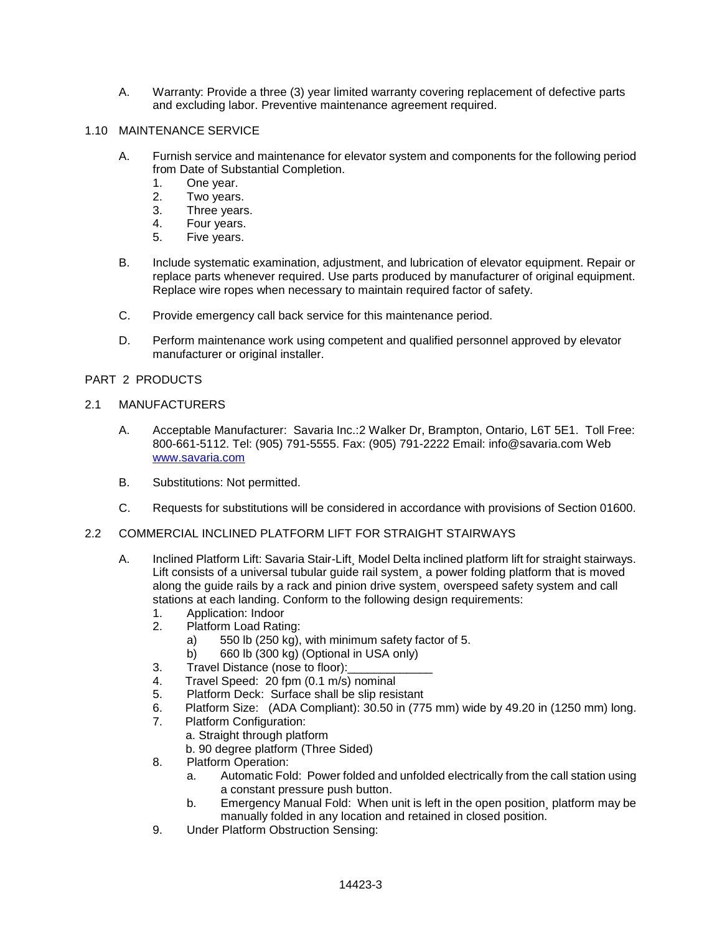A. Warranty: Provide a three (3) year limited warranty covering replacement of defective parts and excluding labor. Preventive maintenance agreement required.

#### 1.10 MAINTENANCE SERVICE

- A. Furnish service and maintenance for elevator system and components for the following period from Date of Substantial Completion.
	- 1. One year.
	- 2. Two years.
	- 3. Three years.
	- 4. Four years.
	- 5. Five years.
- B. Include systematic examination, adjustment, and lubrication of elevator equipment. Repair or replace parts whenever required. Use parts produced by manufacturer of original equipment. Replace wire ropes when necessary to maintain required factor of safety.
- C. Provide emergency call back service for this maintenance period.
- D. Perform maintenance work using competent and qualified personnel approved by elevator manufacturer or original installer.

#### PART 2 PRODUCTS

#### 2.1 MANUFACTURERS

- A. Acceptable Manufacturer: Savaria Inc.:2 Walker Dr, Brampton, Ontario, L6T 5E1. Toll Free: 800-661-5112. Tel: (905) 791-5555. Fax: (905) 791-2222 Email: info@savaria.com Web [www.savaria.com](http://www.savaria.com/)
- B. Substitutions: Not permitted.
- C. Requests for substitutions will be considered in accordance with provisions of Section 01600.
- 2.2 COMMERCIAL INCLINED PLATFORM LIFT FOR STRAIGHT STAIRWAYS
	- A. Inclined Platform Lift: Savaria Stair-Lift¸ Model Delta inclined platform lift for straight stairways. Lift consists of a universal tubular quide rail system a power folding platform that is moved along the guide rails by a rack and pinion drive system¸ overspeed safety system and call stations at each landing. Conform to the following design requirements:
		- 1. Application: Indoor
		- 2. Platform Load Rating:
			- a) 550 lb (250 kg), with minimum safety factor of 5.
			- b) 660 lb (300 kg) (Optional in USA only)
		- 3. Travel Distance (nose to floor):
		- 4. Travel Speed: 20 fpm (0.1 m/s) nominal
		- 5. Platform Deck: Surface shall be slip resistant
		- 6. Platform Size: (ADA Compliant): 30.50 in (775 mm) wide by 49.20 in (1250 mm) long.
		- 7. Platform Configuration:
			- a. Straight through platform
				- b. 90 degree platform (Three Sided)
		- 8. Platform Operation:
			- a. Automatic Fold: Power folded and unfolded electrically from the call station using a constant pressure push button.
			- b. Emergency Manual Fold: When unit is left in the open position platform may be manually folded in any location and retained in closed position.
		- 9. Under Platform Obstruction Sensing: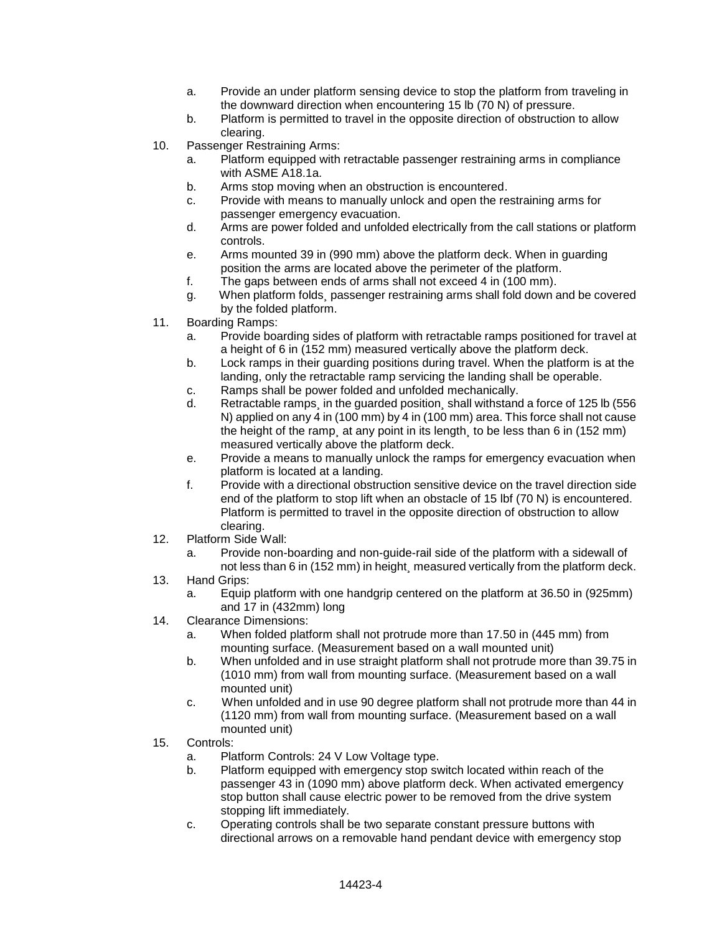- a. Provide an under platform sensing device to stop the platform from traveling in the downward direction when encountering 15 lb (70 N) of pressure.
- b. Platform is permitted to travel in the opposite direction of obstruction to allow clearing.
- 10. Passenger Restraining Arms:
	- a. Platform equipped with retractable passenger restraining arms in compliance with ASME A18.1a.
	- b. Arms stop moving when an obstruction is encountered.
	- c. Provide with means to manually unlock and open the restraining arms for passenger emergency evacuation.
	- d. Arms are power folded and unfolded electrically from the call stations or platform controls.
	- e. Arms mounted 39 in (990 mm) above the platform deck. When in guarding position the arms are located above the perimeter of the platform.
	- f. The gaps between ends of arms shall not exceed 4 in (100 mm).
	- g. When platform folds¸ passenger restraining arms shall fold down and be covered by the folded platform.
- 11. Boarding Ramps:
	- a. Provide boarding sides of platform with retractable ramps positioned for travel at a height of 6 in (152 mm) measured vertically above the platform deck.
	- b. Lock ramps in their guarding positions during travel. When the platform is at the landing, only the retractable ramp servicing the landing shall be operable.
	- c. Ramps shall be power folded and unfolded mechanically.
	- d. Retractable ramps¸ in the guarded position¸ shall withstand a force of 125 lb (556 N) applied on any 4 in (100 mm) by 4 in (100 mm) area. This force shall not cause the height of the ramp¸ at any point in its length¸ to be less than 6 in (152 mm) measured vertically above the platform deck.
	- e. Provide a means to manually unlock the ramps for emergency evacuation when platform is located at a landing.
	- f. Provide with a directional obstruction sensitive device on the travel direction side end of the platform to stop lift when an obstacle of 15 lbf (70 N) is encountered. Platform is permitted to travel in the opposite direction of obstruction to allow clearing.
- 12. Platform Side Wall:
	- a. Provide non-boarding and non-guide-rail side of the platform with a sidewall of not less than 6 in (152 mm) in height measured vertically from the platform deck.
- 13. Hand Grips:
	- a. Equip platform with one handgrip centered on the platform at 36.50 in (925mm) and 17 in (432mm) long
- 14. Clearance Dimensions:
	- a. When folded platform shall not protrude more than 17.50 in (445 mm) from mounting surface. (Measurement based on a wall mounted unit)
	- b. When unfolded and in use straight platform shall not protrude more than 39.75 in (1010 mm) from wall from mounting surface. (Measurement based on a wall mounted unit)
	- c. When unfolded and in use 90 degree platform shall not protrude more than 44 in (1120 mm) from wall from mounting surface. (Measurement based on a wall mounted unit)
- 15. Controls:
	- a. Platform Controls: 24 V Low Voltage type.
	- b. Platform equipped with emergency stop switch located within reach of the passenger 43 in (1090 mm) above platform deck. When activated emergency stop button shall cause electric power to be removed from the drive system stopping lift immediately.
	- c. Operating controls shall be two separate constant pressure buttons with directional arrows on a removable hand pendant device with emergency stop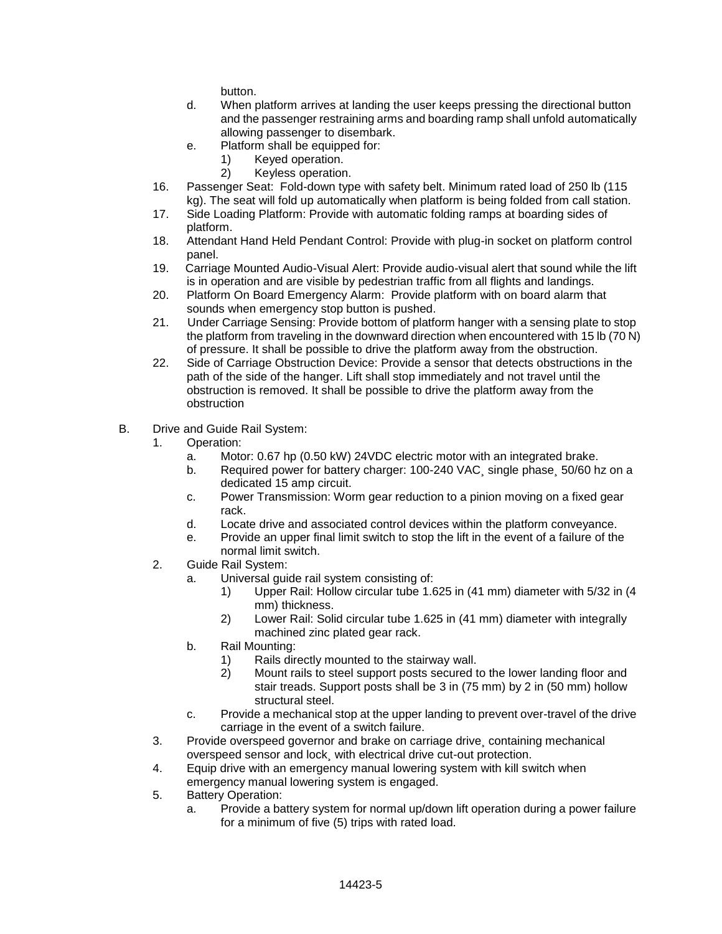button.

- d. When platform arrives at landing the user keeps pressing the directional button and the passenger restraining arms and boarding ramp shall unfold automatically allowing passenger to disembark.
- e. Platform shall be equipped for:
	- 1) Keyed operation.
	- 2) Keyless operation.
- 16. Passenger Seat: Fold-down type with safety belt. Minimum rated load of 250 lb (115 kg). The seat will fold up automatically when platform is being folded from call station.
- 17. Side Loading Platform: Provide with automatic folding ramps at boarding sides of platform.
- 18. Attendant Hand Held Pendant Control: Provide with plug-in socket on platform control panel.
- 19. Carriage Mounted Audio-Visual Alert: Provide audio-visual alert that sound while the lift is in operation and are visible by pedestrian traffic from all flights and landings.
- 20. Platform On Board Emergency Alarm: Provide platform with on board alarm that sounds when emergency stop button is pushed.
- 21. Under Carriage Sensing: Provide bottom of platform hanger with a sensing plate to stop the platform from traveling in the downward direction when encountered with 15 lb (70 N) of pressure. It shall be possible to drive the platform away from the obstruction.
- 22. Side of Carriage Obstruction Device: Provide a sensor that detects obstructions in the path of the side of the hanger. Lift shall stop immediately and not travel until the obstruction is removed. It shall be possible to drive the platform away from the obstruction
- B. Drive and Guide Rail System:
	- 1. Operation:
		- a. Motor: 0.67 hp (0.50 kW) 24VDC electric motor with an integrated brake.
		- b. Required power for battery charger: 100-240 VAC, single phase, 50/60 hz on a dedicated 15 amp circuit.
		- c. Power Transmission: Worm gear reduction to a pinion moving on a fixed gear rack.
		- d. Locate drive and associated control devices within the platform conveyance.
		- e. Provide an upper final limit switch to stop the lift in the event of a failure of the normal limit switch.
	- 2. Guide Rail System:
		- a. Universal guide rail system consisting of:
			- 1) Upper Rail: Hollow circular tube 1.625 in (41 mm) diameter with 5/32 in (4 mm) thickness.
			- 2) Lower Rail: Solid circular tube 1.625 in (41 mm) diameter with integrally machined zinc plated gear rack.
		- b. Rail Mounting:
			- 1) Rails directly mounted to the stairway wall.
			- 2) Mount rails to steel support posts secured to the lower landing floor and stair treads. Support posts shall be 3 in (75 mm) by 2 in (50 mm) hollow structural steel.
		- c. Provide a mechanical stop at the upper landing to prevent over-travel of the drive carriage in the event of a switch failure.
	- 3. Provide overspeed governor and brake on carriage drive¸ containing mechanical overspeed sensor and lock¸ with electrical drive cut-out protection.
	- 4. Equip drive with an emergency manual lowering system with kill switch when
	- emergency manual lowering system is engaged.
	- 5. Battery Operation:
		- a. Provide a battery system for normal up/down lift operation during a power failure for a minimum of five (5) trips with rated load.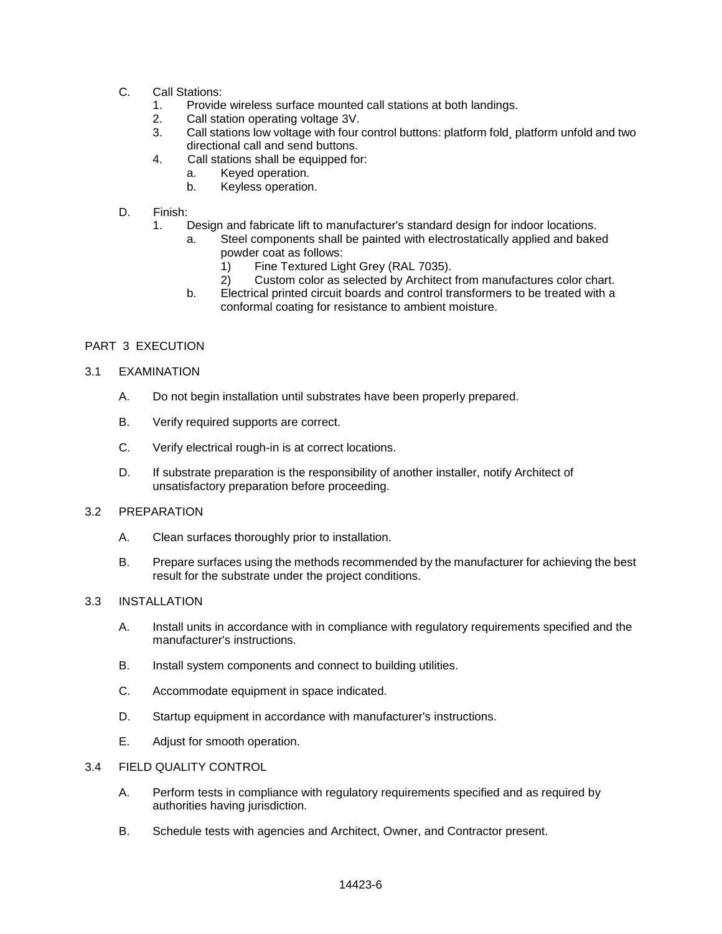- C. Call Stations:
	- 1. Provide wireless surface mounted call stations at both landings.
	- 2. Call station operating voltage 3V.
	- 3. Call stations low voltage with four control buttons: platform fold¸ platform unfold and two directional call and send buttons.
	- 4. Call stations shall be equipped for:
		- a. Keyed operation.
		- b. Keyless operation.
- D. Finish:
	- 1. Design and fabricate lift to manufacturer's standard design for indoor locations.
		- a. Steel components shall be painted with electrostatically applied and baked powder coat as follows:
			- 1) Fine Textured Light Grey (RAL 7035).<br>2) Custom color as selected by Architect
			- Custom color as selected by Architect from manufactures color chart.
		- b. Electrical printed circuit boards and control transformers to be treated with a conformal coating for resistance to ambient moisture.

## PART 3 EXECUTION

- 3.1 EXAMINATION
	- A. Do not begin installation until substrates have been properly prepared.
	- B. Verify required supports are correct.
	- C. Verify electrical rough-in is at correct locations.
	- D. If substrate preparation is the responsibility of another installer, notify Architect of unsatisfactory preparation before proceeding.

#### 3.2 PREPARATION

- A. Clean surfaces thoroughly prior to installation.
- B. Prepare surfaces using the methods recommended by the manufacturer for achieving the best result for the substrate under the project conditions.

#### 3.3 INSTALLATION

- A. Install units in accordance with in compliance with regulatory requirements specified and the manufacturer's instructions.
- B. Install system components and connect to building utilities.
- C. Accommodate equipment in space indicated.
- D. Startup equipment in accordance with manufacturer's instructions.
- E. Adjust for smooth operation.

## 3.4 FIELD QUALITY CONTROL

- A. Perform tests in compliance with regulatory requirements specified and as required by authorities having jurisdiction.
- B. Schedule tests with agencies and Architect, Owner, and Contractor present.